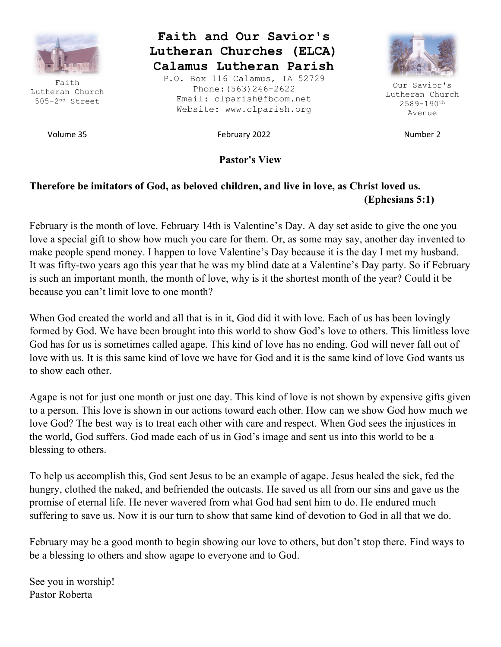

**Pastor's View** 

# **Therefore be imitators of God, as beloved children, and live in love, as Christ loved us. (Ephesians 5:1)**

February is the month of love. February 14th is Valentine's Day. A day set aside to give the one you love a special gift to show how much you care for them. Or, as some may say, another day invented to make people spend money. I happen to love Valentine's Day because it is the day I met my husband. It was fifty-two years ago this year that he was my blind date at a Valentine's Day party. So if February is such an important month, the month of love, why is it the shortest month of the year? Could it be because you can't limit love to one month?

When God created the world and all that is in it, God did it with love. Each of us has been lovingly formed by God. We have been brought into this world to show God's love to others. This limitless love God has for us is sometimes called agape. This kind of love has no ending. God will never fall out of love with us. It is this same kind of love we have for God and it is the same kind of love God wants us to show each other.

Agape is not for just one month or just one day. This kind of love is not shown by expensive gifts given to a person. This love is shown in our actions toward each other. How can we show God how much we love God? The best way is to treat each other with care and respect. When God sees the injustices in the world, God suffers. God made each of us in God's image and sent us into this world to be a blessing to others.

To help us accomplish this, God sent Jesus to be an example of agape. Jesus healed the sick, fed the hungry, clothed the naked, and befriended the outcasts. He saved us all from our sins and gave us the promise of eternal life. He never wavered from what God had sent him to do. He endured much suffering to save us. Now it is our turn to show that same kind of devotion to God in all that we do.

February may be a good month to begin showing our love to others, but don't stop there. Find ways to be a blessing to others and show agape to everyone and to God.

See you in worship! Pastor Roberta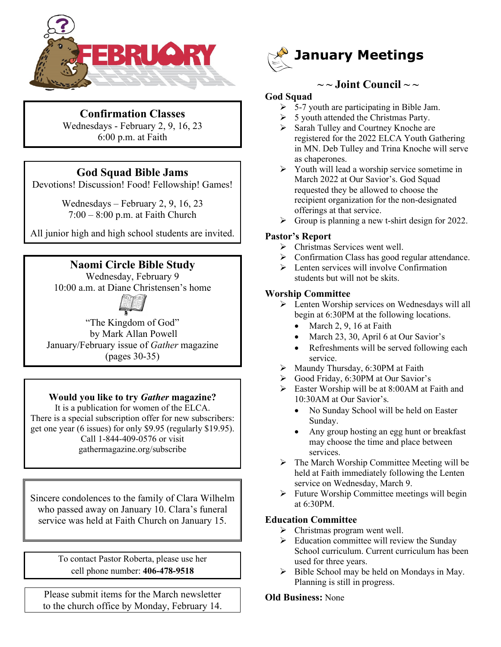

# **Confirmation Classes**

Wednesdays - February 2, 9, 16, 23 6:00 p.m. at Faith

# **God Squad Bible Jams**

Devotions! Discussion! Food! Fellowship! Games!

Wednesdays – February 2, 9, 16, 23 7:00 – 8:00 p.m. at Faith Church

All junior high and high school students are invited.

# **Naomi Circle Bible Study**

Wednesday, February 9 10:00 a.m. at Diane Christensen's home



"The Kingdom of God" by Mark Allan Powell January/February issue of *Gather* magazine (pages 30-35)

#### **Would you like to try** *Gather* **magazine?**

It is a publication for women of the ELCA. There is a special subscription offer for new subscribers: get one year (6 issues) for only \$9.95 (regularly \$19.95). Call 1-844-409-0576 or visit gathermagazine.org/subscribe

Sincere condolences to the family of Clara Wilhelm who passed away on January 10. Clara's funeral service was held at Faith Church on January 15.

> To contact Pastor Roberta, please use her cell phone number: **406-478-9518**

Please submit items for the March newsletter to the church office by Monday, February 14.

# **January Meetings**

# $\sim$  ~ Joint Council  $\sim$   $\sim$

#### **God Squad**

- $>$  5-7 youth are participating in Bible Jam.
- $5$  youth attended the Christmas Party.
- $\triangleright$  Sarah Tulley and Courtney Knoche are registered for the 2022 ELCA Youth Gathering in MN. Deb Tulley and Trina Knoche will serve as chaperones.
- $\triangleright$  Youth will lead a worship service sometime in March 2022 at Our Savior's. God Squad requested they be allowed to choose the recipient organization for the non-designated offerings at that service.
- $\triangleright$  Group is planning a new t-shirt design for 2022.

#### **Pastor's Report**

- > Christmas Services went well.
- $\triangleright$  Confirmation Class has good regular attendance.
- $\triangleright$  Lenten services will involve Confirmation students but will not be skits.

#### **Worship Committee**

- > Lenten Worship services on Wednesdays will all begin at 6:30PM at the following locations.
	- March  $2, 9, 16$  at Faith
	- March 23, 30, April 6 at Our Savior's
	- Refreshments will be served following each service.
- $\triangleright$  Maundy Thursday, 6:30PM at Faith
- $\triangleright$  Good Friday, 6:30PM at Our Savior's
- Easter Worship will be at 8:00 AM at Faith and 10:30AM at Our Savior's.
	- No Sunday School will be held on Easter Sunday.
	- Any group hosting an egg hunt or breakfast may choose the time and place between services.
- $\triangleright$  The March Worship Committee Meeting will be held at Faith immediately following the Lenten service on Wednesday, March 9.
- $\triangleright$  Future Worship Committee meetings will begin at 6:30PM.

#### **Education Committee**

- $\triangleright$  Christmas program went well.
- $\triangleright$  Education committee will review the Sunday School curriculum. Current curriculum has been used for three years.
- $\triangleright$  Bible School may be held on Mondays in May. Planning is still in progress.

#### **Old Business:** None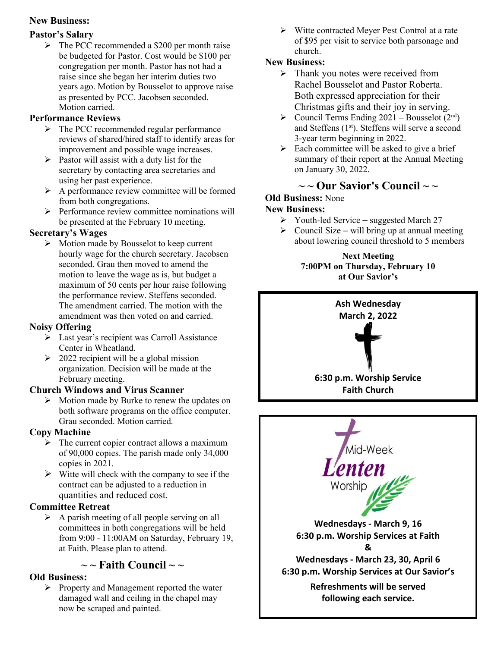#### **New Business:**

#### **Pastor's Salary**

 $\triangleright$  The PCC recommended a \$200 per month raise be budgeted for Pastor. Cost would be \$100 per congregation per month. Pastor has not had a raise since she began her interim duties two years ago. Motion by Bousselot to approve raise as presented by PCC. Jacobsen seconded. Motion carried.

#### **Performance Reviews**

- $\triangleright$  The PCC recommended regular performance reviews of shared/hired staff to identify areas for improvement and possible wage increases.
- $\triangleright$  Pastor will assist with a duty list for the secretary by contacting area secretaries and using her past experience.
- $\triangleright$  A performance review committee will be formed from both congregations.
- $\triangleright$  Performance review committee nominations will be presented at the February 10 meeting.

#### **Secretary's Wages**

 Motion made by Bousselot to keep current hourly wage for the church secretary. Jacobsen seconded. Grau then moved to amend the motion to leave the wage as is, but budget a maximum of 50 cents per hour raise following the performance review. Steffens seconded. The amendment carried. The motion with the amendment was then voted on and carried.

#### **Noisy Offering**

- **Example 3** Last year's recipient was Carroll Assistance Center in Wheatland.
- $\geq 2022$  recipient will be a global mission organization. Decision will be made at the February meeting.

#### **Church Windows and Virus Scanner**

 $\triangleright$  Motion made by Burke to renew the updates on both software programs on the office computer. Grau seconded. Motion carried.

#### **Copy Machine**

- $\triangleright$  The current copier contract allows a maximum of 90,000 copies. The parish made only 34,000 copies in 2021.
- $\triangleright$  Witte will check with the company to see if the contract can be adjusted to a reduction in quantities and reduced cost.

#### **Committee Retreat**

 $\triangleright$  A parish meeting of all people serving on all committees in both congregations will be held from 9:00 - 11:00AM on Saturday, February 19, at Faith. Please plan to attend.

#### $\sim$  **Faith Council**  $\sim$   $\sim$

#### **Old Business:**

 $\triangleright$  Property and Management reported the water damaged wall and ceiling in the chapel may now be scraped and painted.

 $\triangleright$  Witte contracted Meyer Pest Control at a rate of \$95 per visit to service both parsonage and church.

#### **New Business:**

- $\triangleright$  Thank you notes were received from Rachel Bousselot and Pastor Roberta. Both expressed appreciation for their Christmas gifts and their joy in serving.
- $\triangleright$  Council Terms Ending 2021 Bousselot (2<sup>nd</sup>) and Steffens  $(1<sup>st</sup>)$ . Steffens will serve a second 3-year term beginning in 2022.
- $\triangleright$  Each committee will be asked to give a brief summary of their report at the Annual Meeting on January 30, 2022.

## **~ ~ Our Savior's Council ~ ~**

#### **Old Business:** None

#### **New Business:**

- $\triangleright$  Youth-led Service suggested March 27
- $\triangleright$  Council Size will bring up at annual meeting about lowering council threshold to 5 members

#### **Next Meeting 7:00PM on Thursday, February 10 at Our Savior's**

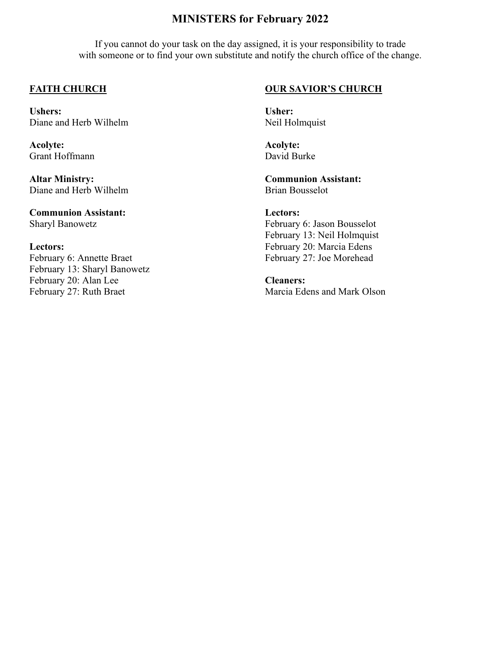## **MINISTERS for February 2022**

If you cannot do your task on the day assigned, it is your responsibility to trade with someone or to find your own substitute and notify the church office of the change.

#### **FAITH CHURCH**

**Ushers:**  Diane and Herb Wilhelm

**Acolyte:**  Grant Hoffmann

**Altar Ministry:**  Diane and Herb Wilhelm

**Communion Assistant:**  Sharyl Banowetz

#### **Lectors:**

February 6: Annette Braet February 13: Sharyl Banowetz February 20: Alan Lee February 27: Ruth Braet

#### **OUR SAVIOR'S CHURCH**

**Usher:**  Neil Holmquist

**Acolyte:**  David Burke

**Communion Assistant:**  Brian Bousselot

#### **Lectors:**

February 6: Jason Bousselot February 13: Neil Holmquist February 20: Marcia Edens February 27: Joe Morehead

**Cleaners:**  Marcia Edens and Mark Olson